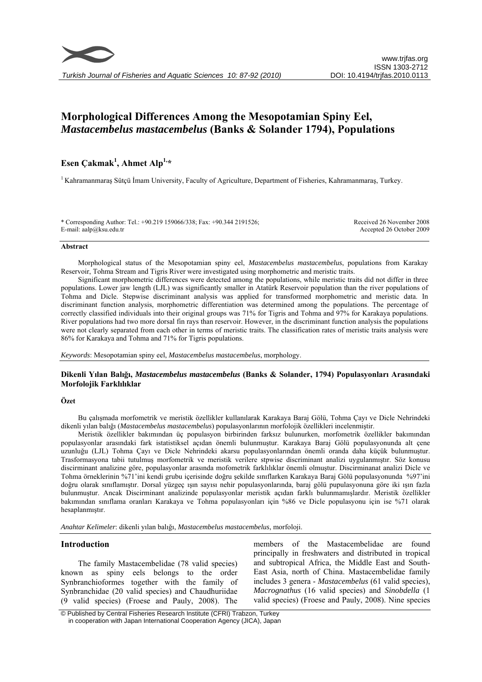

# **Morphological Differences Among the Mesopotamian Spiny Eel,**  *Mastacembelus mastacembelus* **(Banks & Solander 1794), Populations**

# Esen Çakmak<sup>1</sup>, Ahmet Alp<sup>1,\*</sup>

1 Kahramanmaraş Sütçü İmam University, Faculty of Agriculture, Department of Fisheries, Kahramanmaraş, Turkey.

\* Corresponding Author: Tel.: +90.219 159066/338; Fax: +90.344 2191526; E-mail: aalp@ksu.edu.tr

Received 26 November 2008 Accepted 26 October 2009

#### **Abstract**

Morphological status of the Mesopotamian spiny eel, *Mastacembelus mastacembelus*, populations from Karakay Reservoir, Tohma Stream and Tigris River were investigated using morphometric and meristic traits.

Significant morphometric differences were detected among the populations, while meristic traits did not differ in three populations. Lower jaw length (LJL) was significantly smaller in Atatürk Reservoir population than the river populations of Tohma and Dicle. Stepwise discriminant analysis was applied for transformed morphometric and meristic data. In discriminant function analysis, morphometric differentiation was determined among the populations. The percentage of correctly classified individuals into their original groups was 71% for Tigris and Tohma and 97% for Karakaya populations. River populations had two more dorsal fin rays than reservoir. However, in the discriminant function analysis the populations were not clearly separated from each other in terms of meristic traits. The classification rates of meristic traits analysis were 86% for Karakaya and Tohma and 71% for Tigris populations.

*Keywords*: Mesopotamian spiny eel, *Mastacembelus mastacembelus*, morphology.

# **Dikenli Yılan Balığı,** *Mastacembelus mastacembelus* **(Banks & Solander, 1794) Populasyonları Arasındaki Morfolojik Farklılıklar**

#### **Özet**

Bu çalışmada morfometrik ve meristik özellikler kullanılarak Karakaya Baraj Gölü, Tohma Çayı ve Dicle Nehrindeki dikenli yılan balığı (*Mastacembelus mastacembelus*) populasyonlarının morfolojik özellikleri incelenmiştir.

Meristik özellikler bakımından üç populasyon birbirinden farksız bulunurken, morfometrik özellikler bakımından populasyonlar arasındaki fark istatistiksel açıdan önemli bulunmuştur. Karakaya Baraj Gölü populasyonunda alt çene uzunluğu (LJL) Tohma Çayı ve Dicle Nehrindeki akarsu populasyonlarından önemli oranda daha küçük bulunmuştur. Trasformasyona tabii tutulmuş morfometrik ve meristik verilere stpwise discriminant analizi uygulanmıştır. Söz konusu discirminant analizine göre, populasyonlar arasında mofometrik farklılıklar önemli olmuştur. Discirminanat analizi Dicle ve Tohma örneklerinin %71'ini kendi grubu içerisinde doğru şekilde sınıflarken Karakaya Baraj Gölü populasyonunda %97'ini doğru olarak sınıflamıştır. Dorsal yüzgeç ışın sayısı nehir populasyonlarında, baraj gölü pupulasyonuna göre iki ışın fazla bulunmuştur. Ancak Discirminant analizinde populasyonlar meristik açıdan farklı bulunmamışlardır. Meristik özellikler bakımından sınıflama oranları Karakaya ve Tohma populasyonları için %86 ve Dicle populasyonu için ise %71 olarak hesaplanmıştır.

*Anahtar Kelimeler*: dikenli yılan balığı, *Mastacembelus mastacembelus*, morfoloji.

# **Introduction**

The family Mastacembelidae (78 valid species) known as spiny eels belongs to the order Synbranchioformes together with the family of Synbranchidae (20 valid species) and Chaudhuriidae (9 valid species) (Froese and Pauly, 2008). The

members of the Mastacembelidae are found principally in freshwaters and distributed in tropical and subtropical Africa, the Middle East and South-East Asia, north of China. Mastacembelidae family includes 3 genera - *Mastacembelus* (61 valid species), *Macrognathus* (16 valid species) and *Sinobdella* (1 valid species) (Froese and Pauly, 2008). Nine species

 © Published by Central Fisheries Research Institute (CFRI) Trabzon, Turkey in cooperation with Japan International Cooperation Agency (JICA), Japan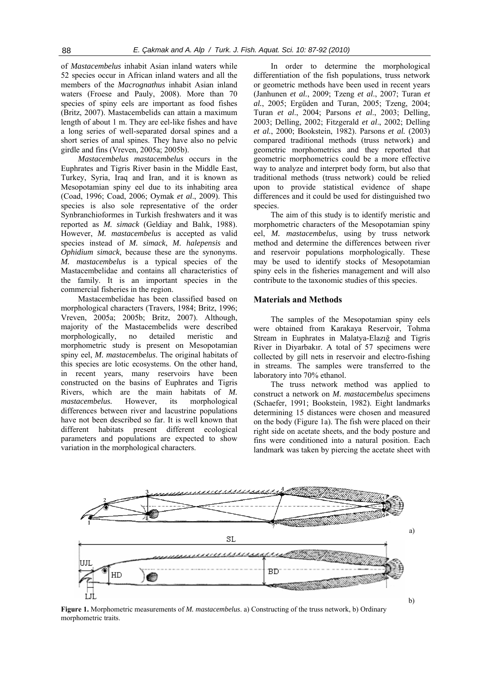of *Mastacembelus* inhabit Asian inland waters while 52 species occur in African inland waters and all the members of the *Macrognathus* inhabit Asian inland waters (Froese and Pauly, 2008). More than 70 species of spiny eels are important as food fishes (Britz, 2007). Mastacembelids can attain a maximum length of about 1 m. They are eel-like fishes and have a long series of well-separated dorsal spines and a short series of anal spines. They have also no pelvic girdle and fins (Vreven, 2005a; 2005b).

*Mastacembelus mastacembelus* occurs in the Euphrates and Tigris River basin in the Middle East, Turkey, Syria, Iraq and Iran, and it is known as Mesopotamian spiny eel due to its inhabiting area (Coad, 1996; Coad, 2006; Oymak *et al*., 2009). This species is also sole representative of the order Synbranchioformes in Turkish freshwaters and it was reported as *M. simack* (Geldiay and Balık, 1988). However, *M. mastacembelus* is accepted as valid species instead of *M. simack*, *M. halepensis* and *Ophidium simack*, because these are the synonyms. *M. mastacembelus* is a typical species of the Mastacembelidae and contains all characteristics of the family. It is an important species in the commercial fisheries in the region.

Mastacembelidae has been classified based on morphological characters (Travers, 1984; Britz, 1996; Vreven, 2005a; 2005b; Britz, 2007). Although, majority of the Mastacembelids were described morphologically, no detailed meristic and morphometric study is present on Mesopotamian spiny eel, *M. mastacembelus*. The original habitats of this species are lotic ecosystems. On the other hand, in recent years, many reservoirs have been constructed on the basins of Euphrates and Tigris Rivers, which are the main habitats of *M. mastacembelus.* However, its morphological differences between river and lacustrine populations have not been described so far. It is well known that different habitats present different ecological parameters and populations are expected to show variation in the morphological characters.

In order to determine the morphological differentiation of the fish populations, truss network or geometric methods have been used in recent years (Janhunen *et al.*, 2009; Tzeng *et al*., 2007; Turan *et al.*, 2005; Ergüden and Turan, 2005; Tzeng, 2004; Turan *et al*., 2004; Parsons *et al*., 2003; Delling, 2003; Delling, 2002; Fitzgerald *et al*., 2002; Delling *et al.*, 2000; Bookstein, 1982). Parsons *et al.* (2003) compared traditional methods (truss network) and geometric morphometrics and they reported that geometric morphometrics could be a more effective way to analyze and interpret body form, but also that traditional methods (truss network) could be relied upon to provide statistical evidence of shape differences and it could be used for distinguished two species.

The aim of this study is to identify meristic and morphometric characters of the Mesopotamian spiny eel, *M. mastacembelus*, using by truss network method and determine the differences between river and reservoir populations morphologically. These may be used to identify stocks of Mesopotamian spiny eels in the fisheries management and will also contribute to the taxonomic studies of this species.

## **Materials and Methods**

The samples of the Mesopotamian spiny eels were obtained from Karakaya Reservoir, Tohma Stream in Euphrates in Malatya-Elazığ and Tigris River in Diyarbakır. A total of 57 specimens were collected by gill nets in reservoir and electro-fishing in streams. The samples were transferred to the laboratory into 70% ethanol.

The truss network method was applied to construct a network on *M. mastacembelus* specimens (Schaefer, 1991; Bookstein, 1982). Eight landmarks determining 15 distances were chosen and measured on the body (Figure 1a). The fish were placed on their right side on acetate sheets, and the body posture and fins were conditioned into a natural position. Each landmark was taken by piercing the acetate sheet with



**Figure 1.** Morphometric measurements of *M. mastacembelus*. a) Constructing of the truss network, b) Ordinary morphometric traits.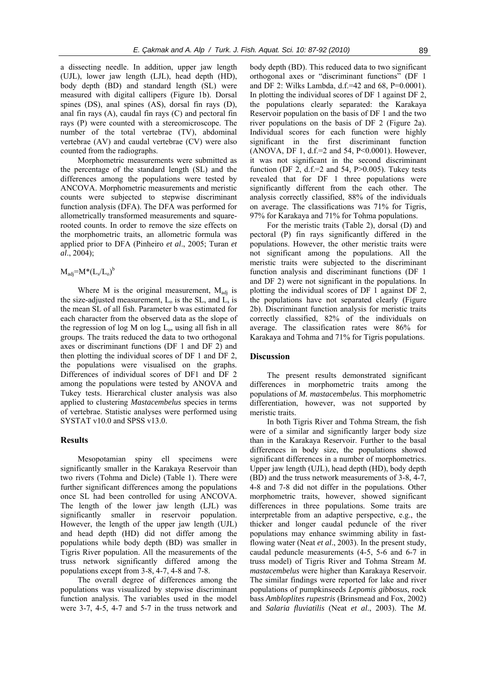a dissecting needle. In addition, upper jaw length (UJL), lower jaw length (LJL), head depth (HD), body depth (BD) and standard length (SL) were measured with digital callipers (Figure 1b). Dorsal spines (DS), anal spines (AS), dorsal fin rays (D), anal fin rays (A), caudal fin rays (C) and pectoral fin rays (P) were counted with a stereomicroscope. The number of the total vertebrae (TV), abdominal vertebrae (AV) and caudal vertebrae (CV) were also counted from the radiographs.

Morphometric measurements were submitted as the percentage of the standard length (SL) and the differences among the populations were tested by ANCOVA. Morphometric measurements and meristic counts were subjected to stepwise discriminant function analysis (DFA). The DFA was performed for allometrically transformed measurements and squarerooted counts. In order to remove the size effects on the morphometric traits, an allometric formula was applied prior to DFA (Pinheiro *et al*., 2005; Turan *et al*., 2004);

 $\rm M_{adj}\equiv\! M^*(L_s\!/\!L_o)^b$ 

Where M is the original measurement,  $M_{\text{adi}}$  is the size-adjusted measurement,  $L_0$  is the SL, and  $L_s$  is the mean SL of all fish. Parameter b was estimated for each character from the observed data as the slope of the regression of log  $M$  on log  $L_0$ , using all fish in all groups. The traits reduced the data to two orthogonal axes or discriminant functions (DF 1 and DF 2) and then plotting the individual scores of DF 1 and DF 2, the populations were visualised on the graphs. Differences of individual scores of DF1 and DF 2 among the populations were tested by ANOVA and Tukey tests. Hierarchical cluster analysis was also applied to clustering *Mastacembelus* species in terms of vertebrae. Statistic analyses were performed using SYSTAT v10.0 and SPSS v13.0.

## **Results**

Mesopotamian spiny ell specimens were significantly smaller in the Karakaya Reservoir than two rivers (Tohma and Dicle) (Table 1). There were further significant differences among the populations once SL had been controlled for using ANCOVA. The length of the lower jaw length (LJL) was significantly smaller in reservoir population. However, the length of the upper jaw length (UJL) and head depth (HD) did not differ among the populations while body depth (BD) was smaller in Tigris River population. All the measurements of the truss network significantly differed among the populations except from 3-8, 4-7, 4-8 and 7-8.

The overall degree of differences among the populations was visualized by stepwise discriminant function analysis. The variables used in the model were 3-7, 4-5, 4-7 and 5-7 in the truss network and body depth (BD). This reduced data to two significant orthogonal axes or "discriminant functions" (DF 1 and DF 2: Wilks Lambda, d.f.=42 and 68,  $P=0.0001$ ). In plotting the individual scores of DF 1 against DF 2, the populations clearly separated: the Karakaya Reservoir population on the basis of DF 1 and the two river populations on the basis of DF 2 (Figure 2a). Individual scores for each function were highly significant in the first discriminant function (ANOVA, DF 1, d.f.=2 and 54, P<0.0001). However, it was not significant in the second discriminant function (DF 2, d.f.=2 and 54,  $P > 0.005$ ). Tukey tests revealed that for DF 1 three populations were significantly different from the each other. The analysis correctly classified, 88% of the individuals on average. The classifications was 71% for Tigris, 97% for Karakaya and 71% for Tohma populations.

For the meristic traits (Table 2), dorsal (D) and pectoral (P) fin rays significantly differed in the populations. However, the other meristic traits were not significant among the populations. All the meristic traits were subjected to the discriminant function analysis and discriminant functions (DF 1 and DF 2) were not significant in the populations. In plotting the individual scores of DF 1 against DF 2, the populations have not separated clearly (Figure 2b). Discriminant function analysis for meristic traits correctly classified, 82% of the individuals on average. The classification rates were 86% for Karakaya and Tohma and 71% for Tigris populations.

#### **Discussion**

The present results demonstrated significant differences in morphometric traits among the populations of *M. mastacembelus*. This morphometric differentiation, however, was not supported by meristic traits.

In both Tigris River and Tohma Stream, the fish were of a similar and significantly larger body size than in the Karakaya Reservoir. Further to the basal differences in body size, the populations showed significant differences in a number of morphometrics. Upper jaw length (UJL), head depth (HD), body depth (BD) and the truss network measurements of 3-8, 4-7, 4-8 and 7-8 did not differ in the populations. Other morphometric traits, however, showed significant differences in three populations. Some traits are interpretable from an adaptive perspective, e.g., the thicker and longer caudal peduncle of the river populations may enhance swimming ability in fastflowing water (Neat *et al*., 2003). In the present study, caudal peduncle measurements (4-5, 5-6 and 6-7 in truss model) of Tigris River and Tohma Stream *M. mastacembelus* were higher than Karakaya Reservoir. The similar findings were reported for lake and river populations of pumpkinseeds *Lepomis gibbosus*, rock bass *Ambloplites rupestris* (Brinsmead and Fox, 2002) and *Salaria fluviatilis* (Neat *et al*., 2003). The *M.*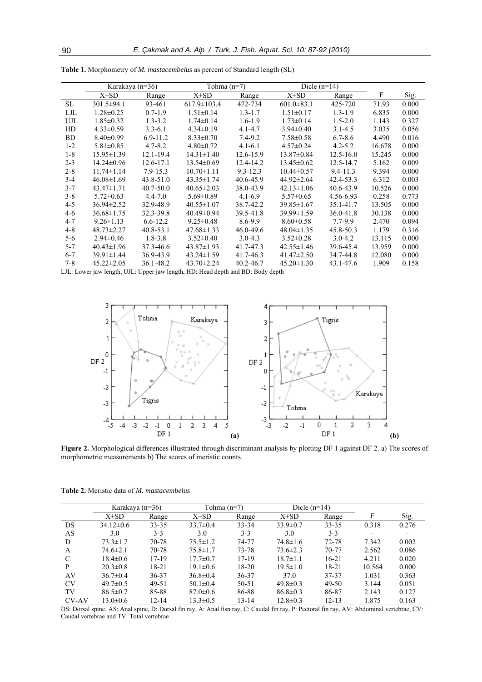|            | Karakaya (n=36)  |               | Tohma $(n=7)$     |               | Dicle $(n=14)$   |               |        |       |
|------------|------------------|---------------|-------------------|---------------|------------------|---------------|--------|-------|
|            | $X\pm SD$        | Range         | $X\pm SD$         | Range         | X±SD             | Range         | F      | Sig.  |
| <b>SL</b>  | $301.5 \pm 94.1$ | 93-461        | $617.9 \pm 103.4$ | 472-734       | $601.0 \pm 83.1$ | 425-720       | 71.93  | 0.000 |
| LJL        | $1.28 \pm 0.25$  | $0.7 - 1.9$   | $1.51 \pm 0.14$   | $1.3 - 1.7$   | $1.51 \pm 0.17$  | $1.3 - 1.9$   | 6.835  | 0.000 |
| <b>UJL</b> | $1.85 \pm 0.32$  | $1.3 - 3.2$   | $1.74 \pm 0.14$   | $1.6 - 1.9$   | $1.73 \pm 0.14$  | $1.5 - 2.0$   | 1.143  | 0.327 |
| HD         | $4.33 \pm 0.59$  | $3.3 - 6.1$   | $4.34\pm0.19$     | $4.1 - 4.7$   | $3.94 \pm 0.40$  | $3.1 - 4.5$   | 3.035  | 0.056 |
| BD         | $8.40\pm0.99$    | $6.9 - 11.2$  | $8.33 \pm 0.70$   | $7.4 - 9.2$   | $7.58 \pm 0.58$  | $6.7 - 8.6$   | 4.490  | 0.016 |
| $1 - 2$    | $5.81 \pm 0.85$  | $4.7 - 8.2$   | $4.80 \pm 0.72$   | $4.1 - 6.1$   | $4.57 \pm 0.24$  | $4.2 - 5.2$   | 16.678 | 0.000 |
| $1 - 8$    | $15.95 \pm 1.39$ | 12.1-19.4     | $14.31 \pm 1.40$  | 12.6-15.9     | $13.87 \pm 0.84$ | $12.5 - 16.0$ | 15.245 | 0.000 |
| $2 - 3$    | $14.24 \pm 0.96$ | 12.6-17.1     | $13.54\pm0.69$    | $12.4 - 14.2$ | $13.45\pm0.62$   | $12.5 - 14.7$ | 5.162  | 0.009 |
| $2 - 8$    | $11.74 \pm 1.14$ | $7.9 - 15.3$  | $10.70 \pm 1.11$  | $9.3 - 12.3$  | $10.44\pm 0.57$  | $9.4 - 11.3$  | 9.394  | 0.000 |
| $3 - 4$    | $46.08 \pm 1.69$ | 43.8-51.0     | $43.35 \pm 1.74$  | 40.6-45.9     | $44.92 \pm 2.64$ | 42.4-53.3     | 6.312  | 0.003 |
| $3 - 7$    | $43.47 \pm 1.71$ | $40.7 - 50.0$ | $40.65 \pm 2.03$  | 38.0-43.9     | $42.13 \pm 1.06$ | 40.6-43.9     | 10.526 | 0.000 |
| $3 - 8$    | $5.72 \pm 0.63$  | $4.4 - 7.0$   | $5.69 \pm 0.89$   | $4.1 - 6.9$   | $5.57\pm0.65$    | 4.56-6.93     | 0.258  | 0.773 |
| $4 - 5$    | $36.94 \pm 2.52$ | 32.9-48.9     | $40.55 \pm 1.07$  | 38.7-42.2     | $39.85 \pm 1.67$ | 35.1-41.7     | 13.505 | 0.000 |
| $4-6$      | $36.68 \pm 1.75$ | 32.3-39.8     | $40.49 \pm 0.94$  | 39.5-41.8     | $39.99 \pm 1.59$ | 36.0-41.8     | 30.138 | 0.000 |
| $4 - 7$    | $9.26 \pm 1.13$  | $6.6 - 12.2$  | $9.25 \pm 0.48$   | 8.6-9.9       | $8.60 \pm 0.58$  | $7.7 - 9.9$   | 2.470  | 0.094 |
| $4 - 8$    | $48.73 \pm 2.27$ | 40.8-53.1     | $47.68 \pm 1.33$  | 46.0-49.6     | $48.04 \pm 1.35$ | 45.8-50.3     | 1.179  | 0.316 |
| $5-6$      | $2.94 \pm 0.46$  | $1.8 - 3.8$   | $3.52 \pm 0.40$   | $3.0 - 4.3$   | $3.52 \pm 0.28$  | $3.0 - 4.2$   | 13.115 | 0.000 |
| $5 - 7$    | $40.43 \pm 1.96$ | 37.3-46.6     | $43.87 \pm 1.93$  | 41.7-47.3     | $42.55 \pm 1.46$ | 39.6-45.4     | 13.959 | 0.000 |
| $6 - 7$    | $39.91 \pm 1.44$ | 36.9-43.9     | $43.24 \pm 1.59$  | 41.7-46.3     | $41.47 \pm 2.50$ | 34.7-44.8     | 12.080 | 0.000 |
| $7 - 8$    | $45.22 \pm 2.05$ | 36.1-48.2     | $43.70 \pm 2.24$  | 40.2-46.7     | $45.20 \pm 1.30$ | 43.1-47.6     | 1.909  | 0.158 |

**Table 1.** Morphometry of *M. mastacembelus* as percent of Standard length (SL)

LJL: Lower jaw length, UJL: Upper jaw length, HD: Head depth and BD: Body depth



**Figure 2.** Morphological differences illustrated through discriminant analysis by plotting DF 1 against DF 2. a) The scores of morphometric measurements b) The scores of meristic counts.

|              | Karakaya $(n=36)$ |           | Tohma $(n=7)$  |           | Dicle $(n=14)$ |           |        |       |
|--------------|-------------------|-----------|----------------|-----------|----------------|-----------|--------|-------|
|              | $X\pm SD$         | Range     | $X\pm SD$      | Range     | $X\pm SD$      | Range     | F      | Sig.  |
| DS           | $34.12 \pm 0.6$   | $33 - 35$ | $33.7 \pm 0.4$ | $33 - 34$ | $33.9 \pm 0.7$ | $33 - 35$ | 0.318  | 0.276 |
| AS           | 3.0               | $3 - 3$   | 3.0            | $3 - 3$   | 3.0            | $3 - 3$   | ٠      |       |
| D            | $73.3 \pm 1.7$    | 70-78     | $75.5 \pm 1.2$ | 74-77     | $74.8 \pm 1.6$ | 72-78     | 7.342  | 0.002 |
| A            | $74.6 \pm 2.1$    | 70-78     | $75.8 \pm 1.7$ | 73-78     | $73.6 \pm 2.3$ | $70 - 77$ | 2.562  | 0.086 |
| C            | $18.4 \pm 0.6$    | 17-19     | $17.7 \pm 0.7$ | $17 - 19$ | $18.7 \pm 1.1$ | $16 - 21$ | 4.211  | 0.020 |
| P            | $20.3 \pm 0.8$    | 18-21     | $19.1 \pm 0.6$ | $18-20$   | $19.5 \pm 1.0$ | $18 - 21$ | 10.564 | 0.000 |
| AV           | $36.7 \pm 0.4$    | $36 - 37$ | $36.8 \pm 0.4$ | $36 - 37$ | 37.0           | 37-37     | 1.031  | 0.363 |
| <b>CV</b>    | $49.7 \pm 0.5$    | 49-51     | $50.1 \pm 0.4$ | $50 - 51$ | $49.8 \pm 0.3$ | $49 - 50$ | 3.144  | 0.051 |
| TV           | $86.5 \pm 0.7$    | 85-88     | $87.0 \pm 0.6$ | 86-88     | $86.8 \pm 0.3$ | 86-87     | 2.143  | 0.127 |
| <b>CV-AV</b> | $13.0 \pm 0.6$    | $12 - 14$ | $13.3 \pm 0.5$ | $13 - 14$ | $12.8 \pm 0.3$ | $12 - 13$ | 1.875  | 0.163 |

**Table 2.** Meristic data of *M. mastacembelus*

DS: Dorsal spine, AS: Anal spine, D: Dorsal fin ray, A: Anal fisn ray, C: Caudal fin ray, P: Pectoral fin ray, AV: Abdominal vertebrae, CV: Caudal vertebrae and TV: Total vertebrae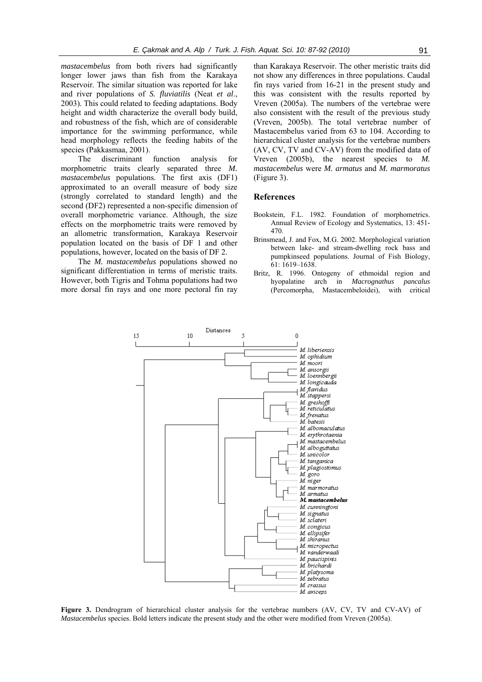*mastacembelus* from both rivers had significantly longer lower jaws than fish from the Karakaya Reservoir. The similar situation was reported for lake and river populations of *S. fluviatilis* (Neat *et al*., 2003). This could related to feeding adaptations. Body height and width characterize the overall body build, and robustness of the fish, which are of considerable importance for the swimming performance, while head morphology reflects the feeding habits of the species (Pakkasmaa, 2001).

The discriminant function analysis for morphometric traits clearly separated three *M. mastacembelus* populations. The first axis (DF1) approximated to an overall measure of body size (strongly correlated to standard length) and the second (DF2) represented a non-specific dimension of overall morphometric variance. Although, the size effects on the morphometric traits were removed by an allometric transformation, Karakaya Reservoir population located on the basis of DF 1 and other populations, however, located on the basis of DF 2.

The *M. mastacembelus* populations showed no significant differentiation in terms of meristic traits. However, both Tigris and Tohma populations had two more dorsal fin rays and one more pectoral fin ray than Karakaya Reservoir. The other meristic traits did not show any differences in three populations. Caudal fin rays varied from 16-21 in the present study and this was consistent with the results reported by Vreven (2005a). The numbers of the vertebrae were also consistent with the result of the previous study (Vreven, 2005b). The total vertebrae number of Mastacembelus varied from 63 to 104. According to hierarchical cluster analysis for the vertebrae numbers (AV, CV, TV and CV-AV) from the modified data of Vreven (2005b), the nearest species to *M. mastacembelus* were *M. armatus* and *M. marmoratus*  (Figure 3).

#### **References**

- Bookstein, F.L. 1982. Foundation of morphometrics. Annual Review of Ecology and Systematics, 13: 451- 470.
- Brinsmead, J. and Fox, M.G. 2002. Morphological variation between lake- and stream-dwelling rock bass and pumpkinseed populations. Journal of Fish Biology, 61: 1619–1638.
- Britz, R. 1996. Ontogeny of ethmoidal region and hyopalatine arch in *Macrognathus pancalus* (Percomorpha, Mastacembeloidei), with critical



Figure 3. Dendrogram of hierarchical cluster analysis for the vertebrae numbers (AV, CV, TV and CV-AV) of *Mastacembelus* species. Bold letters indicate the present study and the other were modified from Vreven (2005a).